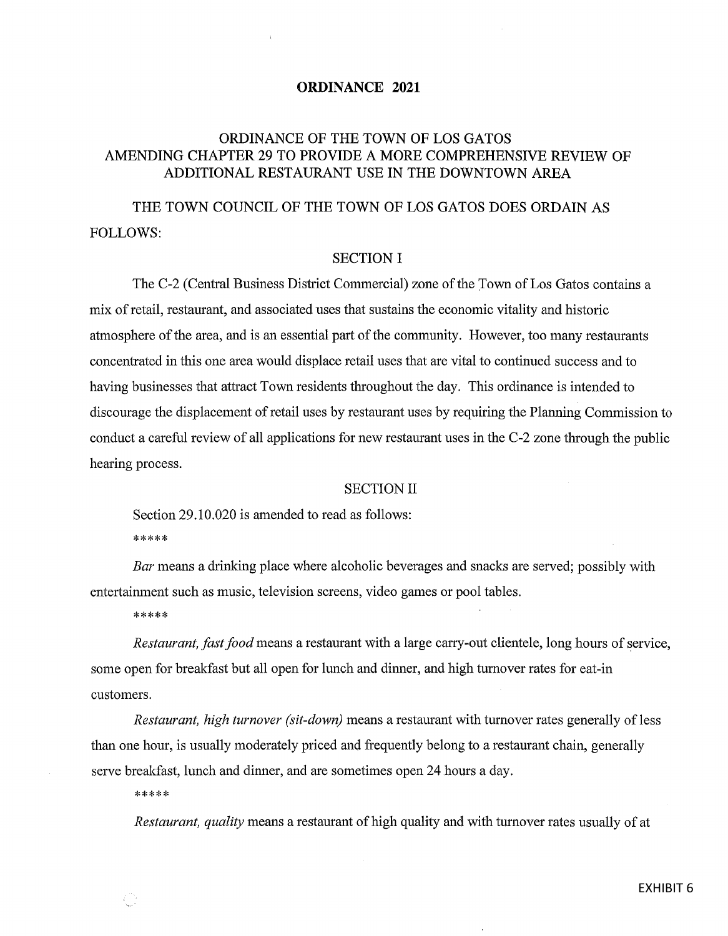# ORDINANCE 2021

# ORDINANCE OF THE TOWN OF LOS GATOS AMENDING CHAPTER 29 TO PROVIDE A MORE COMPREHENSIVE REVIEW OF ADDITIONAL RESTAURANT USE IN THE DOWNTOWN AREA

THE TOWN COUNCIL OF THE TOWN OF LOS GATOS DOES ORDAIN AS FOLLOWS:

# SECTION I

The C-2 (Central Business District Commercial) zone of the Town of Los Gatos contains a mix of retail, restaurant, and associated uses that sustains the economic vitality and historic atmosphere of the area, and is an essential part of the community. However, too many restaurants concentrated in this one area would displace retail uses that are vital to continued success and to having businesses that attract Town residents throughout the day. This ordinance is intended to discourage the displacement of retail uses by restaurant uses by requiring the Planning Commission to conduct <sup>a</sup> careful review of all applications for new restaurant uses in the C -2 zone through the public hearing process.

#### SECTION II

Section 29.10.020 is amended to read as follows: \*\*\*\*\*

Bar means a drinking place where alcoholic beverages and snacks are served; possibly with entertainment such as music, television screens, video games or pool tables.

\*\*\*\*\*

Restaurant, fast food means a restaurant with a large carry-out clientele, long hours of service, some open for breakfast but all open for lunch and dinner, and high turnover rates for eat -in customers.

Restaurant, high turnover (sit-down) means a restaurant with turnover rates generally of less than one hour, is usually moderately priced and frequently belong to a restaurant chain, generally serve breakfast, lunch and dinner, and are sometimes open 24 hours a day.

\*\*\*\*\*

Restaurant, quality means <sup>a</sup> restaurant of high quality and with turnover rates usually of at